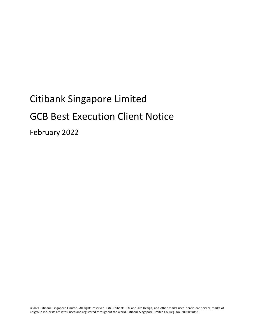# Citibank Singapore Limited GCB Best Execution Client Notice February 2022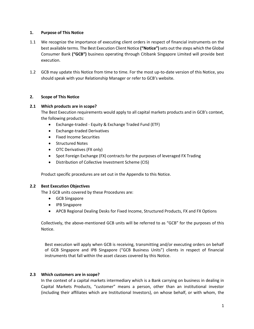## **1. Purpose of This Notice**

- 1.1 We recognize the importance of executing client orders in respect of financial instruments on the best available terms. The Best Execution Client Notice **("Notice")**sets out the steps which the Global Consumer Bank **("GCB")** business operating through Citibank Singapore Limited will provide best execution.
- 1.2 GCB may update this Notice from time to time. For the most up-to-date version of this Notice, you should speak with your Relationship Manager or refer to GCB's website.

# **2. Scope of This Notice**

## **2.1 Which products are in scope?**

The Best Execution requirements would apply to all capital markets products and in GCB's context, the following products:

- Exchange-traded Equity & Exchange Traded Fund (ETF)
- Exchange-traded Derivatives
- Fixed Income Securities
- Structured Notes
- OTC Derivatives (FX only)
- Spot Foreign Exchange (FX) contracts for the purposes of leveraged FX Trading
- Distribution of Collective Investment Scheme (CIS)

Product specific procedures are set out in the Appendix to this Notice.

#### **2.2 Best Execution Objectives**

The 3 GCB units covered by these Procedures are:

- GCB Singapore
- IPB Singapore
- APCB Regional Dealing Desks for Fixed Income, Structured Products, FX and FX Options

Collectively, the above-mentioned GCB units will be referred to as "GCB" for the purposes of this Notice.

Best execution will apply when GCB is receiving, transmitting and/or executing orders on behalf of GCB Singapore and IPB Singapore ("GCB Business Units") clients in respect of financial instruments that fall within the asset classes covered by this Notice.

#### **2.3 Which customers are in scope?**

In the context of a capital markets intermediary which is a Bank carrying on business in dealing in Capital Markets Products, "customer" means a person, other than an institutional investor (including their affiliates which are Institutional Investors), on whose behalf, or with whom, the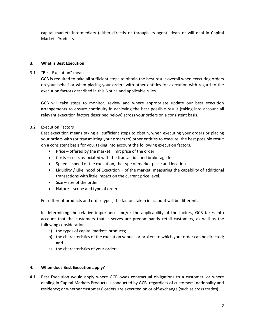capital markets intermediary (either directly or through its agent) deals or will deal in Capital Markets Products.

## **3. What is Best Execution**

3.1 "Best Execution" means:

GCB is required to take all sufficient steps to obtain the best result overall when executing orders on your behalf or when placing your orders with other entities for execution with regard to the execution factors described in this Notice and applicable rules.

GCB will take steps to monitor, review and where appropriate update our best execution arrangements to ensure continuity in achieving the best possible result (taking into account all relevant execution factors described below) across your orders on a consistent basis.

## 3.2 Execution Factors

Best execution means taking all sufficient steps to obtain, when executing your orders or placing your orders with (or transmitting your orders to) other entities to execute, the best possible result on a consistent basis for you, taking into account the following execution factors.

- Price offered by the market, limit price of the order
- Costs costs associated with the transaction and brokerage fees
- Speed speed of the execution, the type of market place and location
- Liquidity / Likelihood of Execution of the market, measuring the capability of additional transactions with little impact on the current price level.
- $\bullet$  Size size of the order
- Nature scope and type of order

For different products and order types, the factors taken in account will be different.

In determining the relative importance and/or the applicability of the factors, GCB takes into account that the customers that it serves are predominantly retail customers, as well as the following considerations:

- a) the types of capital markets products;
- b) the characteristics of the execution venues or brokers to which your order can be directed; and
- c) the characteristics of your orders.

#### **4. When does Best Execution apply?**

4.1 Best Execution would apply where GCB owes contractual obligations to a customer, or where dealing in Capital Markets Products is conducted by GCB, regardless of customers' nationality and residency; or whether customers' orders are executed on or off-exchange (such as cross trades).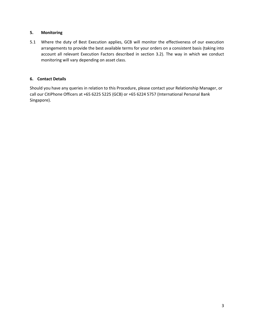# **5. Monitoring**

5.1 Where the duty of Best Execution applies, GCB will monitor the effectiveness of our execution arrangements to provide the best available terms for your orders on a consistent basis (taking into account all relevant Execution Factors described in section 3.2). The way in which we conduct monitoring will vary depending on asset class.

# **6. Contact Details**

Should you have any queries in relation to this Procedure, please contact your Relationship Manager, or call our CitiPhone Officers at +65 6225 5225 (GCB) or +65 6224 5757 (International Personal Bank Singapore).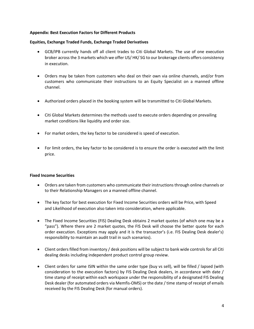### **Appendix: Best Execution Factors for Different Products**

#### **Equities, Exchange Traded Funds, Exchange Traded Derivatives**

- GCB/IPB currently hands off all client trades to Citi Global Markets. The use of one execution broker across the 3 markets which we offer US/ HK/ SG to our brokerage clients offers consistency in execution.
- Orders may be taken from customers who deal on their own via online channels, and/or from customers who communicate their instructions to an Equity Specialist on a manned offline channel.
- Authorized orders placed in the booking system will be transmitted to Citi Global Markets.
- Citi Global Markets determines the methods used to execute orders depending on prevailing market conditions like liquidity and order size.
- For market orders, the key factor to be considered is speed of execution.
- For limit orders, the key factor to be considered is to ensure the order is executed with the limit price.

# **Fixed Income Securities**

- Orders are taken from customers who communicate their instructions through online channels or to their Relationship Managers on a manned offline channel.
- The key factor for best execution for Fixed Income Securities orders will be Price, with Speed and Likelihood of execution also taken into consideration, where applicable.
- The Fixed Income Securities (FIS) Dealing Desk obtains 2 market quotes (of which one may be a "pass"). Where there are 2 market quotes, the FIS Desk will choose the better quote for each order execution. Exceptions may apply and it is the transactor's (i.e. FIS Dealing Desk dealer's) responsibility to maintain an audit trail in such scenarios).
- Client orders filled from inventory / desk positions will be subject to bank wide controls for all Citi dealing desks including independent product control group review.
- Client orders for same ISIN within the same order type (buy vs sell), will be filled / lapsed (with consideration to the execution factors) by FIS Dealing Desk dealers, in accordance with date / time stamp of receipt within each workspace under the responsibility of a designated FIS Dealing Desk dealer (for automated orders via Memfis-OMS) or the date / time stamp of receipt of emails received by the FIS Dealing Desk (for manual orders).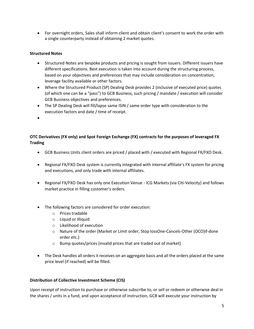For overnight orders, Sales shall inform client and obtain client's consent to work the order with a single counterparty instead of obtaining 2 market quotes.

## **Structured Notes**

- Structured Notes are bespoke products and pricing is sought from issuers. Different issuers have different specifications. Best execution is taken into account during the structuring process, based on your objectives and preferences that may include consideration on concentration, leverage facility available or other factors.
- Where the Structured Product (SP) Dealing Desk provides 2 (inclusive of executed price) quotes (of which one can be a "pass") to GCB Business, such pricing / mandate / execution will consider GCB Business objectives and preferences.
- The SP Dealing Desk will fill/lapse same ISIN / same order type with consideration to the execution factors and date / time of receipt.
- $\bullet$

# **OTC Derivatives (FX only) and Spot Foreign Exchange (FX) contracts for the purposes of leveraged FX Trading**

- GCB Business Units client orders are priced / placed with / executed with Regional FX/FXO Desk.
- Regional FX/FXO Desk system is currently integrated with internal affiliate's FX system for pricing and executions, and only trade with internal affiliates.
- Regional FX/FXO Desk has only one Execution Venue ICG Markets (via Citi-Velocity) and follows market practice in filling customer's orders.
- The following factors are considered for order execution:
	- o Prices tradable
	- o Liquid or Illiquid
	- o Likelihood of execution
	- o Nature of the order (Market or Limit order, Stop lossOne-Cancels-Other (OCO)if-done order etc.)
	- $\circ$  Bump quotes/prices (invalid prices that are traded out of market)
- The Desk handles all orders it receives on an aggregate basis and all the orders placed at the same price level (if reached) will be filled.

#### **Distribution of Collective Investment Scheme (CIS)**

Upon receipt of instruction to purchase or otherwise subscribe to, or sell or redeem or otherwise deal in the shares / units in a fund, and upon acceptance of instruction, GCB will execute your instruction by